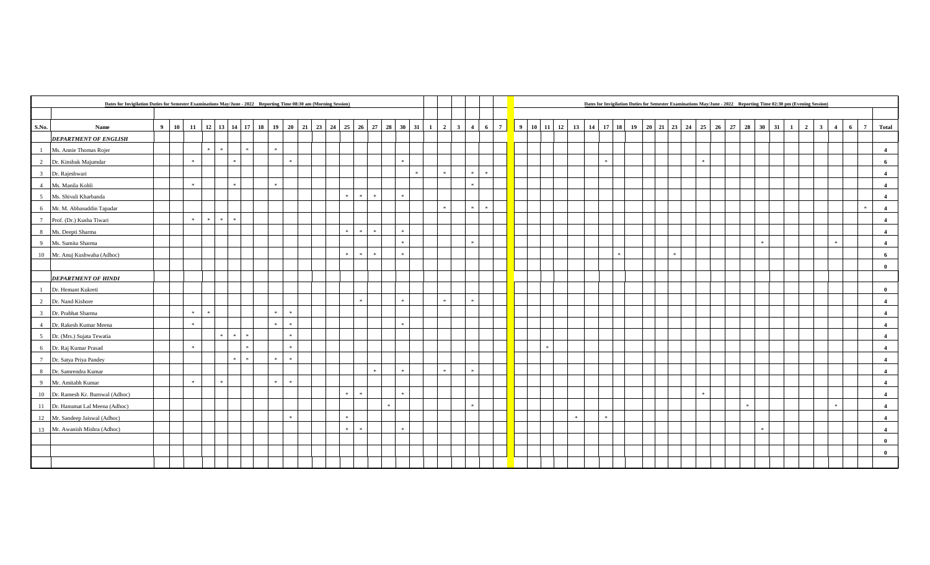|                 | Dates for Invigilation Duties for Semester Examinations May/June - 2022 Reporting Time 08:30 am (Morning Session) |       |    |               |               |  |               |                             |  |                                                                                                                                                                  |                             |               |               |  |               |            |                 |  |               |               |  |  |       |                 |  |   |  |              | Dates for Invigilation Duties for Semester Examinations May/June - 2022 Reporting Time 02:30 pm (Evening Session) |                         |                |   |             |                |
|-----------------|-------------------------------------------------------------------------------------------------------------------|-------|----|---------------|---------------|--|---------------|-----------------------------|--|------------------------------------------------------------------------------------------------------------------------------------------------------------------|-----------------------------|---------------|---------------|--|---------------|------------|-----------------|--|---------------|---------------|--|--|-------|-----------------|--|---|--|--------------|-------------------------------------------------------------------------------------------------------------------|-------------------------|----------------|---|-------------|----------------|
|                 |                                                                                                                   |       |    |               |               |  |               |                             |  |                                                                                                                                                                  |                             |               |               |  |               |            |                 |  |               |               |  |  |       |                 |  |   |  |              |                                                                                                                   |                         |                |   |             |                |
| S.No.           | Name                                                                                                              | $9-1$ | 10 |               |               |  |               |                             |  | $11 \mid 12 \mid 13 \mid 14 \mid 17 \mid 18 \mid 19 \mid 20 \mid 21 \mid 23 \mid 24 \mid 25 \mid 26 \mid 27 \mid 28 \mid 30 \mid 31 \mid 1 \mid 2 \mid 3 \mid 4$ |                             |               |               |  |               | $6-1$      | $7\overline{ }$ |  |               |               |  |  |       |                 |  |   |  | $31 \quad 1$ | $\overline{\phantom{a}}$                                                                                          | $\overline{\mathbf{3}}$ | $\overline{4}$ | 6 | $7^{\circ}$ | Total          |
|                 | <b>DEPARTMENT OF ENGLISH</b>                                                                                      |       |    |               |               |  |               |                             |  |                                                                                                                                                                  |                             |               |               |  |               |            |                 |  |               |               |  |  |       |                 |  |   |  |              |                                                                                                                   |                         |                |   |             |                |
|                 | Ms. Annie Thomas Rojer                                                                                            |       |    |               | $\mathcal{H}$ |  |               |                             |  |                                                                                                                                                                  |                             |               |               |  |               |            |                 |  |               |               |  |  |       |                 |  |   |  |              |                                                                                                                   |                         |                |   |             | $\overline{4}$ |
| $\overline{2}$  | Dr. Kinshuk Majumdar                                                                                              |       |    |               |               |  |               | $\mathcal{R}^{\prime}$      |  |                                                                                                                                                                  |                             |               |               |  |               |            |                 |  |               |               |  |  |       |                 |  |   |  |              |                                                                                                                   |                         |                |   |             | 6              |
| $\overline{3}$  | Dr. Rajeshwari                                                                                                    |       |    |               |               |  |               |                             |  |                                                                                                                                                                  |                             |               | $\mathcal{R}$ |  | $\mathcal{R}$ | <b>Ski</b> |                 |  |               |               |  |  |       |                 |  |   |  |              |                                                                                                                   |                         |                |   |             | $\overline{4}$ |
| $\overline{4}$  | Ms. Manila Kohli                                                                                                  |       |    | $\cdot$       |               |  |               |                             |  |                                                                                                                                                                  |                             |               |               |  |               |            |                 |  |               |               |  |  |       |                 |  |   |  |              |                                                                                                                   |                         |                |   |             | $\overline{4}$ |
| $\sim$          | Ms. Shivali Kharbanda                                                                                             |       |    |               |               |  |               |                             |  | $\mathcal{R}$                                                                                                                                                    | $\gg$                       | $\mathcal{R}$ |               |  |               |            |                 |  |               |               |  |  |       |                 |  |   |  |              |                                                                                                                   |                         |                |   |             | $\overline{4}$ |
| 6               | Mr. M. Abbasuddin Tapadar                                                                                         |       |    |               |               |  |               |                             |  |                                                                                                                                                                  |                             |               |               |  | - sk          | $\gg$      |                 |  |               |               |  |  |       |                 |  |   |  |              |                                                                                                                   |                         |                |   |             | $\overline{4}$ |
| $7\overline{ }$ | Prof. (Dr.) Kusha Tiwari                                                                                          |       |    | $\cdot$       | $\mathcal{H}$ |  |               |                             |  |                                                                                                                                                                  |                             |               |               |  |               |            |                 |  |               |               |  |  |       |                 |  |   |  |              |                                                                                                                   |                         |                |   |             | $\overline{4}$ |
| 8               | Ms. Deepti Sharma                                                                                                 |       |    |               |               |  |               |                             |  |                                                                                                                                                                  |                             |               |               |  |               |            |                 |  |               |               |  |  |       |                 |  |   |  |              |                                                                                                                   |                         |                |   |             | $\overline{4}$ |
| 9               | Ms. Sumita Sharma                                                                                                 |       |    |               |               |  |               |                             |  |                                                                                                                                                                  |                             |               |               |  |               |            |                 |  |               |               |  |  |       |                 |  |   |  |              |                                                                                                                   |                         |                |   |             | $\overline{4}$ |
|                 | 10 Mr. Anuj Kushwaha (Adhoc)                                                                                      |       |    |               |               |  |               |                             |  |                                                                                                                                                                  | $\mathcal{R}^{\mathcal{L}}$ |               |               |  |               |            |                 |  |               |               |  |  | $\pm$ |                 |  |   |  |              |                                                                                                                   |                         |                |   |             | 6              |
|                 |                                                                                                                   |       |    |               |               |  |               |                             |  |                                                                                                                                                                  |                             |               |               |  |               |            |                 |  |               |               |  |  |       |                 |  |   |  |              |                                                                                                                   |                         |                |   |             | $\mathbf{0}$   |
|                 | <b>DEPARTMENT OF HINDI</b>                                                                                        |       |    |               |               |  |               |                             |  |                                                                                                                                                                  |                             |               |               |  |               |            |                 |  |               |               |  |  |       |                 |  |   |  |              |                                                                                                                   |                         |                |   |             |                |
|                 | Dr. Hemant Kukreti                                                                                                |       |    |               |               |  |               |                             |  |                                                                                                                                                                  |                             |               |               |  |               |            |                 |  |               |               |  |  |       |                 |  |   |  |              |                                                                                                                   |                         |                |   |             | $\bf{0}$       |
| $\overline{2}$  | Dr. Nand Kishore                                                                                                  |       |    |               |               |  |               |                             |  |                                                                                                                                                                  |                             |               |               |  |               |            |                 |  |               |               |  |  |       |                 |  |   |  |              |                                                                                                                   |                         |                |   |             | $\overline{4}$ |
| $\overline{3}$  | Dr. Prabhat Sharma                                                                                                |       |    | $\pm$         |               |  | $\mathcal{R}$ | $\mathcal{R}^{\mathcal{C}}$ |  |                                                                                                                                                                  |                             |               |               |  |               |            |                 |  |               |               |  |  |       |                 |  |   |  |              |                                                                                                                   |                         |                |   |             | $\overline{4}$ |
| $\overline{4}$  | Dr. Rakesh Kumar Meena                                                                                            |       |    | $\cdot$       |               |  |               | $\pm$                       |  |                                                                                                                                                                  |                             |               |               |  |               |            |                 |  |               |               |  |  |       |                 |  |   |  |              |                                                                                                                   |                         |                |   |             | $\overline{4}$ |
| $\overline{5}$  | Dr. (Mrs.) Sujata Tewatia                                                                                         |       |    |               | $\approx$     |  |               | $\ast$                      |  |                                                                                                                                                                  |                             |               |               |  |               |            |                 |  |               |               |  |  |       |                 |  |   |  |              |                                                                                                                   |                         |                |   |             | $\overline{4}$ |
| 6               | Dr. Raj Kumar Prasad                                                                                              |       |    | $\cdot$       |               |  |               | $\mathbb{R}^+$              |  |                                                                                                                                                                  |                             |               |               |  |               |            |                 |  | $\mathcal{R}$ |               |  |  |       |                 |  |   |  |              |                                                                                                                   |                         |                |   |             | $\overline{4}$ |
| $7\overline{ }$ | Dr. Satya Priya Pandey                                                                                            |       |    |               |               |  |               | $\ast$                      |  |                                                                                                                                                                  |                             |               |               |  |               |            |                 |  |               |               |  |  |       |                 |  |   |  |              |                                                                                                                   |                         |                |   |             | $\overline{4}$ |
| 8               | Dr. Samrendra Kumar                                                                                               |       |    |               |               |  |               |                             |  |                                                                                                                                                                  |                             |               |               |  |               |            |                 |  |               |               |  |  |       |                 |  |   |  |              |                                                                                                                   |                         |                |   |             | $\overline{4}$ |
|                 | 9 Mr. Amitabh Kumar                                                                                               |       |    | $\mathcal{R}$ | $\gg$         |  |               | $\mathcal{R}$               |  |                                                                                                                                                                  |                             |               |               |  |               |            |                 |  |               |               |  |  |       |                 |  |   |  |              |                                                                                                                   |                         |                |   |             | $\overline{4}$ |
|                 | 10 Dr. Ramesh Kr. Burnwal (Adhoc)                                                                                 |       |    |               |               |  |               |                             |  | *                                                                                                                                                                | $\mathcal{R}$               | $\rightarrow$ |               |  |               |            |                 |  |               |               |  |  |       | $\mathcal{R}$ . |  |   |  |              |                                                                                                                   |                         |                |   |             | $\overline{4}$ |
|                 | 11 Dr. Hanumat Lal Meena (Adhoc)                                                                                  |       |    |               |               |  |               |                             |  |                                                                                                                                                                  |                             |               |               |  |               |            |                 |  |               |               |  |  |       |                 |  | 家 |  |              |                                                                                                                   |                         |                |   |             | $\overline{4}$ |
|                 | 12 Mr. Sandeep Jaiswal (Adhoc)                                                                                    |       |    |               |               |  |               | $\mathcal{R}$               |  |                                                                                                                                                                  |                             |               |               |  |               |            |                 |  |               | $\mathcal{R}$ |  |  |       |                 |  |   |  |              |                                                                                                                   |                         |                |   |             | $\overline{4}$ |
|                 | 13 Mr. Awanish Mishra (Adhoc)                                                                                     |       |    |               |               |  |               |                             |  | *                                                                                                                                                                | $\mathcal{R}$               |               |               |  |               |            |                 |  |               |               |  |  |       |                 |  |   |  |              |                                                                                                                   |                         |                |   |             | $\overline{4}$ |
|                 |                                                                                                                   |       |    |               |               |  |               |                             |  |                                                                                                                                                                  |                             |               |               |  |               |            |                 |  |               |               |  |  |       |                 |  |   |  |              |                                                                                                                   |                         |                |   |             | $\mathbf{0}$   |
|                 |                                                                                                                   |       |    |               |               |  |               |                             |  |                                                                                                                                                                  |                             |               |               |  |               |            |                 |  |               |               |  |  |       |                 |  |   |  |              |                                                                                                                   |                         |                |   |             | $\mathbf{0}$   |
|                 |                                                                                                                   |       |    |               |               |  |               |                             |  |                                                                                                                                                                  |                             |               |               |  |               |            |                 |  |               |               |  |  |       |                 |  |   |  |              |                                                                                                                   |                         |                |   |             |                |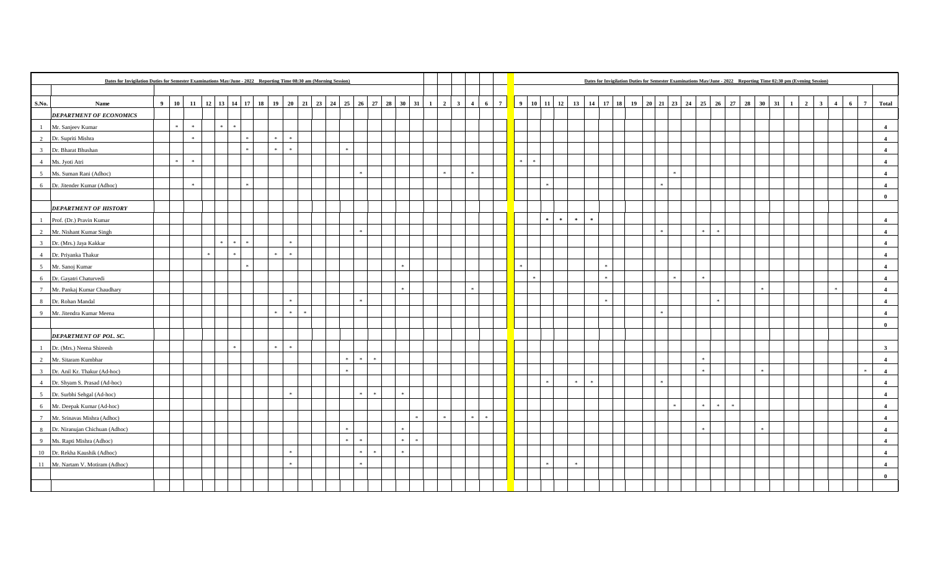|                 |                                  | Dates for Invigilation Duties for Semester Examinations May/June - 2022 Reporting Time 08:30 am (Morning Session)<br>  12   13   14   17   18   19   20   21   23   24   25   26   27   28   30   31   1<br>$2 \mid 3$ |                     |  |  |  |  |  |                             |  |  |  |                                      |  |  |         |        |  |                         |             |                     |               |               |                  |                             |  |  |            | Dates for Invigilation Duties for Semester Examinations May/June - 2022 Reporting Time 02:30 pm (Evening Session) |      |               |                      |                         |                |                      |                         |
|-----------------|----------------------------------|------------------------------------------------------------------------------------------------------------------------------------------------------------------------------------------------------------------------|---------------------|--|--|--|--|--|-----------------------------|--|--|--|--------------------------------------|--|--|---------|--------|--|-------------------------|-------------|---------------------|---------------|---------------|------------------|-----------------------------|--|--|------------|-------------------------------------------------------------------------------------------------------------------|------|---------------|----------------------|-------------------------|----------------|----------------------|-------------------------|
|                 |                                  |                                                                                                                                                                                                                        |                     |  |  |  |  |  |                             |  |  |  |                                      |  |  |         |        |  |                         |             |                     |               |               |                  |                             |  |  |            |                                                                                                                   |      |               |                      |                         |                |                      |                         |
| S.No.           | Name                             | $9 \mid 10$                                                                                                                                                                                                            | 11                  |  |  |  |  |  |                             |  |  |  |                                      |  |  |         |        |  | $\overline{\mathbf{4}}$ | $6 \quad 7$ |                     |               |               |                  |                             |  |  |            |                                                                                                                   |      |               | $\overline{2}$<br>-1 | $\overline{\mathbf{3}}$ | $\overline{4}$ | $7\overline{ }$<br>6 | Total                   |
|                 | <b>DEPARTMENT OF ECONOMICS</b>   |                                                                                                                                                                                                                        |                     |  |  |  |  |  |                             |  |  |  |                                      |  |  |         |        |  |                         |             |                     |               |               |                  |                             |  |  |            |                                                                                                                   |      |               |                      |                         |                |                      |                         |
| $\mathbf{1}$    | Mr. Sanjeev Kumar                |                                                                                                                                                                                                                        | $\ast$              |  |  |  |  |  |                             |  |  |  |                                      |  |  |         |        |  |                         |             |                     |               |               |                  |                             |  |  |            |                                                                                                                   |      |               |                      |                         |                |                      | $\overline{\mathbf{4}}$ |
|                 | 2 Dr. Supriti Mishra             |                                                                                                                                                                                                                        | $\mathcal{R}^{\pm}$ |  |  |  |  |  | $\mathcal{R}^{\pm}$         |  |  |  |                                      |  |  |         |        |  |                         |             |                     |               |               |                  |                             |  |  |            |                                                                                                                   |      |               |                      |                         |                |                      | $\overline{\mathbf{4}}$ |
| $\frac{3}{2}$   | Dr. Bharat Bhushan               |                                                                                                                                                                                                                        |                     |  |  |  |  |  | $\mathbb{R}^+$              |  |  |  |                                      |  |  |         |        |  |                         |             |                     |               |               |                  |                             |  |  |            |                                                                                                                   |      |               |                      |                         |                |                      | $\overline{4}$          |
|                 | 4 Ms. Jyoti Atri                 |                                                                                                                                                                                                                        | $\pm$               |  |  |  |  |  |                             |  |  |  |                                      |  |  |         |        |  |                         |             | $\mathcal{R}^{\pm}$ | $\mathcal{R}$ |               |                  |                             |  |  |            |                                                                                                                   |      |               |                      |                         |                |                      | $\overline{\mathbf{4}}$ |
| 5 <sup>5</sup>  | Ms. Suman Rani (Adhoc)           |                                                                                                                                                                                                                        |                     |  |  |  |  |  |                             |  |  |  |                                      |  |  |         |        |  |                         |             |                     |               |               |                  |                             |  |  |            |                                                                                                                   |      |               |                      |                         |                |                      | $\boldsymbol{4}$        |
| 6               | Dr. Jitender Kumar (Adhoc)       |                                                                                                                                                                                                                        | $\cdot$             |  |  |  |  |  |                             |  |  |  |                                      |  |  |         |        |  |                         |             |                     |               |               |                  |                             |  |  |            |                                                                                                                   |      |               |                      |                         |                |                      | $\boldsymbol{4}$        |
|                 |                                  |                                                                                                                                                                                                                        |                     |  |  |  |  |  |                             |  |  |  |                                      |  |  |         |        |  |                         |             |                     |               |               |                  |                             |  |  |            |                                                                                                                   |      |               |                      |                         |                |                      | $\bf{0}$                |
|                 | <b>DEPARTMENT OF HISTORY</b>     |                                                                                                                                                                                                                        |                     |  |  |  |  |  |                             |  |  |  |                                      |  |  |         |        |  |                         |             |                     |               |               |                  |                             |  |  |            |                                                                                                                   |      |               |                      |                         |                |                      |                         |
| $\mathbf{1}$    | Prof. (Dr.) Pravin Kumar         |                                                                                                                                                                                                                        |                     |  |  |  |  |  |                             |  |  |  |                                      |  |  |         |        |  |                         |             |                     |               | $\mathcal{M}$ | $\cdot$<br>$\pm$ | $\mathcal{R}^{\mathcal{L}}$ |  |  |            |                                                                                                                   |      |               |                      |                         |                |                      | $\overline{\mathbf{4}}$ |
| 2               | Mr. Nishant Kumar Singh          |                                                                                                                                                                                                                        |                     |  |  |  |  |  |                             |  |  |  |                                      |  |  |         |        |  |                         |             |                     |               |               |                  |                             |  |  |            | $\mathcal{R}$                                                                                                     |      |               |                      |                         |                |                      | $\overline{\mathbf{4}}$ |
| 3 <sup>1</sup>  | Dr. (Mrs.) Jaya Kakkar           |                                                                                                                                                                                                                        |                     |  |  |  |  |  | $\mathbb{R}^+$              |  |  |  |                                      |  |  |         |        |  |                         |             |                     |               |               |                  |                             |  |  |            |                                                                                                                   |      |               |                      |                         |                |                      | $\overline{\mathbf{4}}$ |
| $\overline{4}$  | Dr. Priyanka Thakur              |                                                                                                                                                                                                                        |                     |  |  |  |  |  | $\mathcal{R}^{\mathcal{L}}$ |  |  |  |                                      |  |  |         |        |  |                         |             |                     |               |               |                  |                             |  |  |            |                                                                                                                   |      |               |                      |                         |                |                      | $\overline{4}$          |
| 5 <sup>5</sup>  | Mr. Sanoj Kumar                  |                                                                                                                                                                                                                        |                     |  |  |  |  |  |                             |  |  |  |                                      |  |  |         |        |  |                         |             | $\mathcal{R}$       |               |               |                  |                             |  |  |            |                                                                                                                   |      |               |                      |                         |                |                      | $\overline{4}$          |
| 6               | Dr. Gayatri Chaturvedi           |                                                                                                                                                                                                                        |                     |  |  |  |  |  |                             |  |  |  |                                      |  |  |         |        |  |                         |             |                     | sk.           |               |                  |                             |  |  | <b>Ski</b> | $\pm$                                                                                                             |      |               |                      |                         |                |                      | $\overline{4}$          |
|                 | 7 Mr. Pankaj Kumar Chaudhary     |                                                                                                                                                                                                                        |                     |  |  |  |  |  |                             |  |  |  |                                      |  |  |         |        |  |                         |             |                     |               |               |                  |                             |  |  |            |                                                                                                                   |      | $\mathcal{R}$ |                      |                         |                |                      | $\overline{4}$          |
| 8 <sup>1</sup>  | Dr. Rohan Mandal                 |                                                                                                                                                                                                                        |                     |  |  |  |  |  | $\mathcal{R}^{\mathcal{L}}$ |  |  |  |                                      |  |  |         |        |  |                         |             |                     |               |               |                  |                             |  |  |            |                                                                                                                   |      |               |                      |                         |                |                      | $\overline{4}$          |
|                 | 9 Mr. Jitendra Kumar Meena       |                                                                                                                                                                                                                        |                     |  |  |  |  |  | $\ast$                      |  |  |  |                                      |  |  |         |        |  |                         |             |                     |               |               |                  |                             |  |  |            |                                                                                                                   |      |               |                      |                         |                |                      | $\overline{4}$          |
|                 |                                  |                                                                                                                                                                                                                        |                     |  |  |  |  |  |                             |  |  |  |                                      |  |  |         |        |  |                         |             |                     |               |               |                  |                             |  |  |            |                                                                                                                   |      |               |                      |                         |                |                      | $\mathbf{0}$            |
|                 | DEPARTMENT OF POL. SC.           |                                                                                                                                                                                                                        |                     |  |  |  |  |  |                             |  |  |  |                                      |  |  |         |        |  |                         |             |                     |               |               |                  |                             |  |  |            |                                                                                                                   |      |               |                      |                         |                |                      |                         |
| $\mathbf{1}$    | Dr. (Mrs.) Neena Shireesh        |                                                                                                                                                                                                                        |                     |  |  |  |  |  | $\pm$                       |  |  |  |                                      |  |  |         |        |  |                         |             |                     |               |               |                  |                             |  |  |            |                                                                                                                   |      |               |                      |                         |                |                      | $\overline{\mathbf{3}}$ |
| 2               | Mr. Sitaram Kumbhar              |                                                                                                                                                                                                                        |                     |  |  |  |  |  |                             |  |  |  | $\mathcal{R}$ .<br>$\mathcal{R}$     |  |  |         |        |  |                         |             |                     |               |               |                  |                             |  |  |            |                                                                                                                   |      |               |                      |                         |                |                      | $\overline{\mathbf{4}}$ |
|                 | 3 Dr. Anil Kr. Thakur (Ad-hoc)   |                                                                                                                                                                                                                        |                     |  |  |  |  |  |                             |  |  |  | $\mathcal{R}$                        |  |  |         |        |  |                         |             |                     |               |               |                  |                             |  |  |            |                                                                                                                   |      |               |                      |                         |                | $\mathbf{z}$         | $\overline{4}$          |
| 4               | Dr. Shyam S. Prasad (Ad-hoc)     |                                                                                                                                                                                                                        |                     |  |  |  |  |  |                             |  |  |  |                                      |  |  |         |        |  |                         |             |                     |               |               |                  |                             |  |  |            |                                                                                                                   |      |               |                      |                         |                |                      | $\overline{4}$          |
|                 | 5 Dr. Surbhi Sehgal (Ad-hoc)     |                                                                                                                                                                                                                        |                     |  |  |  |  |  | s.                          |  |  |  | $\mathcal{G}$                        |  |  |         |        |  |                         |             |                     |               |               |                  |                             |  |  |            |                                                                                                                   |      |               |                      |                         |                |                      | $\overline{\mathbf{4}}$ |
|                 | 6 Mr. Deepak Kumar (Ad-hoc)      |                                                                                                                                                                                                                        |                     |  |  |  |  |  |                             |  |  |  |                                      |  |  |         |        |  |                         |             |                     |               |               |                  |                             |  |  |            | $\mathcal{R}$                                                                                                     | - 54 |               |                      |                         |                |                      | $\overline{4}$          |
| $7\overline{ }$ | Mr. Srinavas Mishra (Adhoc)      |                                                                                                                                                                                                                        |                     |  |  |  |  |  |                             |  |  |  |                                      |  |  |         |        |  |                         |             |                     |               |               |                  |                             |  |  |            |                                                                                                                   |      |               |                      |                         |                |                      | $\boldsymbol{4}$        |
| 8               | Dr. Niranujan Chichuan (Adhoc)   |                                                                                                                                                                                                                        |                     |  |  |  |  |  |                             |  |  |  | $\mathcal{R}$                        |  |  |         |        |  |                         |             |                     |               |               |                  |                             |  |  |            |                                                                                                                   |      |               |                      |                         |                |                      | $\overline{4}$          |
|                 | 9 Ms. Rapti Mishra (Adhoc)       |                                                                                                                                                                                                                        |                     |  |  |  |  |  |                             |  |  |  | $\mathcal{R}$<br>$\mathcal{R}^{\pm}$ |  |  | $\cdot$ | $\ast$ |  |                         |             |                     |               |               |                  |                             |  |  |            |                                                                                                                   |      |               |                      |                         |                |                      | $\overline{\mathbf{4}}$ |
|                 | 10 Dr. Rekha Kaushik (Adhoc)     |                                                                                                                                                                                                                        |                     |  |  |  |  |  | s.                          |  |  |  | $\omega$                             |  |  |         |        |  |                         |             |                     |               |               |                  |                             |  |  |            |                                                                                                                   |      |               |                      |                         |                |                      | $\overline{\mathbf{4}}$ |
|                 | 11 Mr. Nartam V. Motiram (Adhoc) |                                                                                                                                                                                                                        |                     |  |  |  |  |  | $\mathbb{R}^+$              |  |  |  | $\mathbf{R}$                         |  |  |         |        |  |                         |             |                     |               | $\rightarrow$ |                  |                             |  |  |            |                                                                                                                   |      |               |                      |                         |                |                      | $\overline{4}$          |
|                 |                                  |                                                                                                                                                                                                                        |                     |  |  |  |  |  |                             |  |  |  |                                      |  |  |         |        |  |                         |             |                     |               |               |                  |                             |  |  |            |                                                                                                                   |      |               |                      |                         |                |                      | $\mathbf{0}$            |
|                 |                                  |                                                                                                                                                                                                                        |                     |  |  |  |  |  |                             |  |  |  |                                      |  |  |         |        |  |                         |             |                     |               |               |                  |                             |  |  |            |                                                                                                                   |      |               |                      |                         |                |                      |                         |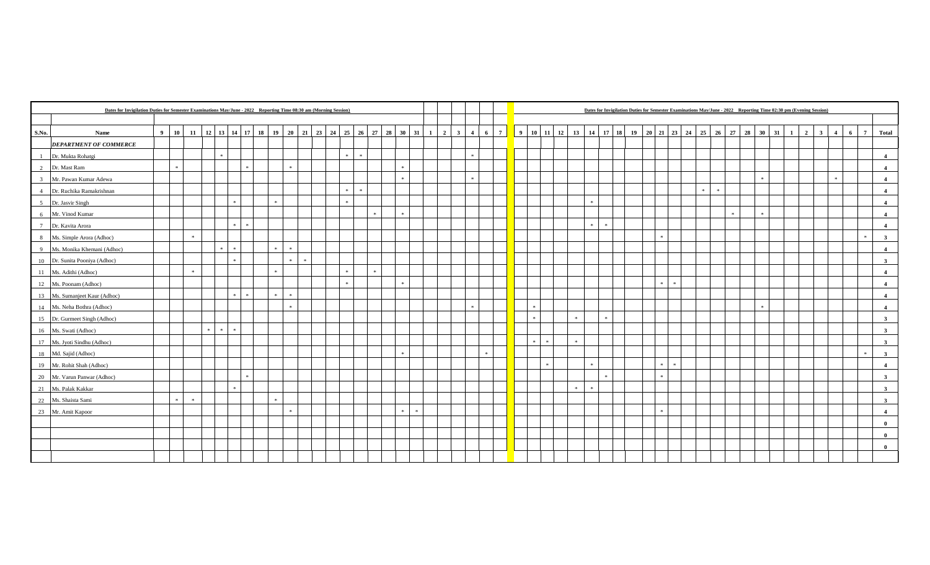|                 |                               | Dates for Invigilation Duties for Semester Examinations May/June - 2022 Reporting Time 08:30 am (Morning Session)<br>9 10 11 12 13 14 17 18 19 20 21 23 24 25 26 27 28 30 31 1 2 3 4 6 7 |               |  |               |  |  |  |                    |  |  |           |                     |  |  |  |  |  |  |       |               |       |         |  |  |     | Dates for Invigilation Duties for Semester Examinations May/June - 2022 Reporting Time 02:30 pm (Evening Session) |       |         |               |  |  |              |                |                |                |   |                |                         |
|-----------------|-------------------------------|------------------------------------------------------------------------------------------------------------------------------------------------------------------------------------------|---------------|--|---------------|--|--|--|--------------------|--|--|-----------|---------------------|--|--|--|--|--|--|-------|---------------|-------|---------|--|--|-----|-------------------------------------------------------------------------------------------------------------------|-------|---------|---------------|--|--|--------------|----------------|----------------|----------------|---|----------------|-------------------------|
|                 |                               |                                                                                                                                                                                          |               |  |               |  |  |  |                    |  |  |           |                     |  |  |  |  |  |  |       |               |       |         |  |  |     |                                                                                                                   |       |         |               |  |  |              |                |                |                |   |                |                         |
| S.No.           | Name                          |                                                                                                                                                                                          |               |  |               |  |  |  |                    |  |  |           |                     |  |  |  |  |  |  |       |               |       |         |  |  |     |                                                                                                                   |       |         |               |  |  | $\mathbf{1}$ | $\overline{2}$ | $\overline{3}$ | $\overline{4}$ | 6 | $\overline{7}$ | Total                   |
|                 | <b>DEPARTMENT OF COMMERCE</b> |                                                                                                                                                                                          |               |  |               |  |  |  |                    |  |  |           |                     |  |  |  |  |  |  |       |               |       |         |  |  |     |                                                                                                                   |       |         |               |  |  |              |                |                |                |   |                |                         |
|                 | Dr. Mukta Rohatgi             |                                                                                                                                                                                          |               |  | $\mathcal{H}$ |  |  |  |                    |  |  | <b>SK</b> | $\mathcal{R}$       |  |  |  |  |  |  |       |               |       |         |  |  |     |                                                                                                                   |       |         |               |  |  |              |                |                |                |   |                | $\overline{4}$          |
| 2               | Dr. Mast Ram                  |                                                                                                                                                                                          |               |  |               |  |  |  | $\cdot$            |  |  |           |                     |  |  |  |  |  |  |       |               |       |         |  |  |     |                                                                                                                   |       |         |               |  |  |              |                |                |                |   |                | $\overline{4}$          |
| $\overline{3}$  | Mr. Pawan Kumar Adewa         |                                                                                                                                                                                          |               |  |               |  |  |  |                    |  |  |           |                     |  |  |  |  |  |  |       |               |       |         |  |  |     |                                                                                                                   |       |         |               |  |  |              |                |                |                |   |                | $\overline{4}$          |
| $\overline{4}$  | Dr. Ruchika Ramakrishnan      |                                                                                                                                                                                          |               |  |               |  |  |  |                    |  |  |           | $\mathcal{R}^{\pm}$ |  |  |  |  |  |  |       |               |       |         |  |  |     |                                                                                                                   | $\pm$ | $\cdot$ |               |  |  |              |                |                |                |   |                | $\overline{4}$          |
| 5 <sup>5</sup>  | Dr. Jasvir Singh              |                                                                                                                                                                                          |               |  |               |  |  |  |                    |  |  |           |                     |  |  |  |  |  |  |       |               |       | $\cdot$ |  |  |     |                                                                                                                   |       |         |               |  |  |              |                |                |                |   |                | $\overline{4}$          |
| 6               | Mr. Vinod Kumar               |                                                                                                                                                                                          |               |  |               |  |  |  |                    |  |  |           |                     |  |  |  |  |  |  |       |               |       |         |  |  |     |                                                                                                                   |       |         | $\mathcal{R}$ |  |  |              |                |                |                |   |                | $\overline{4}$          |
| $7\overline{ }$ | Dr. Kavita Arora              |                                                                                                                                                                                          |               |  |               |  |  |  |                    |  |  |           |                     |  |  |  |  |  |  |       |               |       | $\cdot$ |  |  |     |                                                                                                                   |       |         |               |  |  |              |                |                |                |   |                | $\overline{\mathbf{4}}$ |
| 8               | Ms. Simple Arora (Adhoc)      |                                                                                                                                                                                          | $\cdot$       |  |               |  |  |  |                    |  |  |           |                     |  |  |  |  |  |  |       |               |       |         |  |  |     |                                                                                                                   |       |         |               |  |  |              |                |                |                |   | sk.            | $\overline{\mathbf{3}}$ |
|                 | 9 Ms. Monika Khemani (Adhoc)  |                                                                                                                                                                                          |               |  | $\mathcal{H}$ |  |  |  | $\mathcal{R}$      |  |  |           |                     |  |  |  |  |  |  |       |               |       |         |  |  |     |                                                                                                                   |       |         |               |  |  |              |                |                |                |   |                | $\overline{4}$          |
|                 | 10 Dr. Sunita Pooniya (Adhoc) |                                                                                                                                                                                          |               |  |               |  |  |  | $\mathcal{R}$      |  |  |           |                     |  |  |  |  |  |  |       |               |       |         |  |  |     |                                                                                                                   |       |         |               |  |  |              |                |                |                |   |                | $\overline{3}$          |
|                 | 11 Ms. Adithi (Adhoc)         |                                                                                                                                                                                          | $\mathcal{R}$ |  |               |  |  |  |                    |  |  |           |                     |  |  |  |  |  |  |       |               |       |         |  |  |     |                                                                                                                   |       |         |               |  |  |              |                |                |                |   |                | $\overline{4}$          |
|                 | 12 Ms. Poonam (Adhoc)         |                                                                                                                                                                                          |               |  |               |  |  |  |                    |  |  |           |                     |  |  |  |  |  |  |       |               |       |         |  |  | sk. | $\mathcal{R}$                                                                                                     |       |         |               |  |  |              |                |                |                |   |                | $\overline{4}$          |
|                 | 13 Ms. Sumanjeet Kaur (Adhoc) |                                                                                                                                                                                          |               |  |               |  |  |  | $\bar{\mathbf{x}}$ |  |  |           |                     |  |  |  |  |  |  |       |               |       |         |  |  |     |                                                                                                                   |       |         |               |  |  |              |                |                |                |   |                | $\overline{\mathbf{4}}$ |
|                 | 14 Ms. Neha Bothra (Adhoc)    |                                                                                                                                                                                          |               |  |               |  |  |  | $\mathcal{R}$      |  |  |           |                     |  |  |  |  |  |  |       |               |       |         |  |  |     |                                                                                                                   |       |         |               |  |  |              |                |                |                |   |                | $\overline{4}$          |
|                 | 15 Dr. Gurmeet Singh (Adhoc)  |                                                                                                                                                                                          |               |  |               |  |  |  |                    |  |  |           |                     |  |  |  |  |  |  |       |               |       |         |  |  |     |                                                                                                                   |       |         |               |  |  |              |                |                |                |   |                | $\overline{\mathbf{3}}$ |
|                 | 16 Ms. Swati (Adhoc)          |                                                                                                                                                                                          |               |  | $\mathcal{R}$ |  |  |  |                    |  |  |           |                     |  |  |  |  |  |  |       |               |       |         |  |  |     |                                                                                                                   |       |         |               |  |  |              |                |                |                |   |                | $\mathbf{3}$            |
|                 | 17 Ms. Jyoti Sindhu (Adhoc)   |                                                                                                                                                                                          |               |  |               |  |  |  |                    |  |  |           |                     |  |  |  |  |  |  | $\pm$ | $\mathcal{R}$ | $\gg$ |         |  |  |     |                                                                                                                   |       |         |               |  |  |              |                |                |                |   |                | $\overline{\mathbf{3}}$ |
|                 | 18 Md. Sajid (Adhoc)          |                                                                                                                                                                                          |               |  |               |  |  |  |                    |  |  |           |                     |  |  |  |  |  |  |       |               |       |         |  |  |     |                                                                                                                   |       |         |               |  |  |              |                |                |                |   |                | $\overline{\mathbf{3}}$ |
|                 | 19 Mr. Rohit Shah (Adhoc)     |                                                                                                                                                                                          |               |  |               |  |  |  |                    |  |  |           |                     |  |  |  |  |  |  |       | $\sim$        |       |         |  |  |     |                                                                                                                   |       |         |               |  |  |              |                |                |                |   |                | $\overline{4}$          |
|                 | 20 Mr. Varun Panwar (Adhoc)   |                                                                                                                                                                                          |               |  |               |  |  |  |                    |  |  |           |                     |  |  |  |  |  |  |       |               |       |         |  |  |     |                                                                                                                   |       |         |               |  |  |              |                |                |                |   |                | $\overline{\mathbf{3}}$ |
|                 | 21 Ms. Palak Kakkar           |                                                                                                                                                                                          |               |  |               |  |  |  |                    |  |  |           |                     |  |  |  |  |  |  |       |               |       |         |  |  |     |                                                                                                                   |       |         |               |  |  |              |                |                |                |   |                | $\mathbf{3}$            |
|                 | 22 Ms. Shaista Sami           | $\mathcal{R}$                                                                                                                                                                            | $\cdot$       |  |               |  |  |  |                    |  |  |           |                     |  |  |  |  |  |  |       |               |       |         |  |  |     |                                                                                                                   |       |         |               |  |  |              |                |                |                |   |                | $\overline{\mathbf{3}}$ |
|                 | 23 Mr. Amit Kapoor            |                                                                                                                                                                                          |               |  |               |  |  |  | $\cdot$            |  |  |           |                     |  |  |  |  |  |  |       |               |       |         |  |  |     |                                                                                                                   |       |         |               |  |  |              |                |                |                |   |                | $\overline{\mathbf{4}}$ |
|                 |                               |                                                                                                                                                                                          |               |  |               |  |  |  |                    |  |  |           |                     |  |  |  |  |  |  |       |               |       |         |  |  |     |                                                                                                                   |       |         |               |  |  |              |                |                |                |   |                | $\bf{0}$                |
|                 |                               |                                                                                                                                                                                          |               |  |               |  |  |  |                    |  |  |           |                     |  |  |  |  |  |  |       |               |       |         |  |  |     |                                                                                                                   |       |         |               |  |  |              |                |                |                |   |                | $\bf{0}$                |
|                 |                               |                                                                                                                                                                                          |               |  |               |  |  |  |                    |  |  |           |                     |  |  |  |  |  |  |       |               |       |         |  |  |     |                                                                                                                   |       |         |               |  |  |              |                |                |                |   |                | $\bf{0}$                |
|                 |                               |                                                                                                                                                                                          |               |  |               |  |  |  |                    |  |  |           |                     |  |  |  |  |  |  |       |               |       |         |  |  |     |                                                                                                                   |       |         |               |  |  |              |                |                |                |   |                |                         |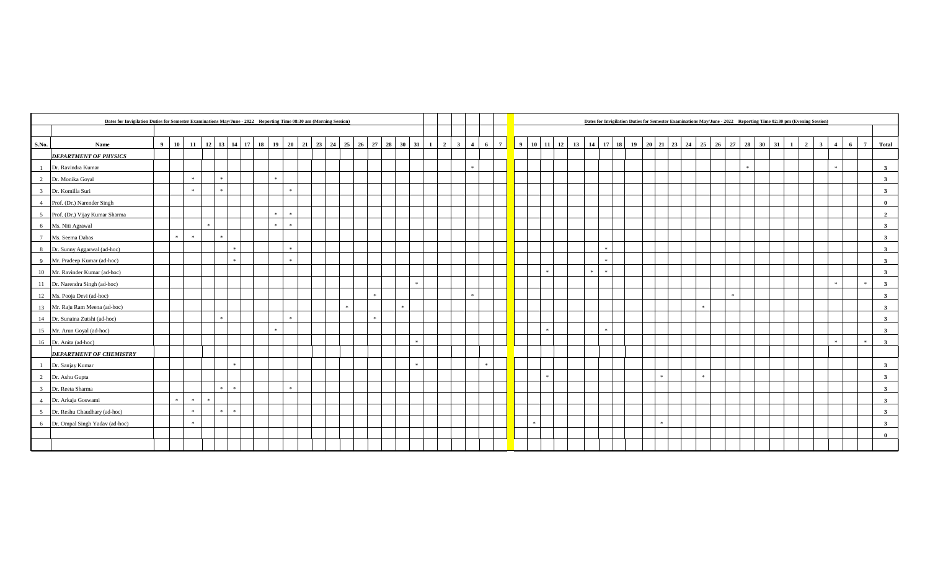|                                              | Dates for Invigilation Duties for Semester Examinations May/June - 2022 Reporting Time 08:30 am (Morning Session)<br>10 11 12 13 14 17 18 19 20 21 23 24 25 26 27 28 30 31 1 2 3 4 6 7 9 10 11 12 13 14 17 18 19 20 21 23 24 25 26 27 28 30 31 |               |               |  |            |         |  |  |               |           |  |  |  |  |  |  |               |  |  |               |  |               |  |                     | Dates for Invigilation Duties for Semester Examinations May/June - 2022 Reporting Time 02:30 pm (Evening Session) |  |  |              |  |       |  |              |                |                |                |   |                |                         |
|----------------------------------------------|------------------------------------------------------------------------------------------------------------------------------------------------------------------------------------------------------------------------------------------------|---------------|---------------|--|------------|---------|--|--|---------------|-----------|--|--|--|--|--|--|---------------|--|--|---------------|--|---------------|--|---------------------|-------------------------------------------------------------------------------------------------------------------|--|--|--------------|--|-------|--|--------------|----------------|----------------|----------------|---|----------------|-------------------------|
|                                              |                                                                                                                                                                                                                                                |               |               |  |            |         |  |  |               |           |  |  |  |  |  |  |               |  |  |               |  |               |  |                     |                                                                                                                   |  |  |              |  |       |  |              |                |                |                |   |                |                         |
| Name<br>S.No.                                | $\overline{9}$                                                                                                                                                                                                                                 |               |               |  |            |         |  |  |               |           |  |  |  |  |  |  |               |  |  |               |  |               |  |                     |                                                                                                                   |  |  |              |  |       |  | $\mathbf{1}$ | $\overline{2}$ | 3 <sup>1</sup> | $\overline{4}$ | 6 | $\overline{7}$ | <b>Total</b>            |
| <b>DEPARTMENT OF PHYSICS</b>                 |                                                                                                                                                                                                                                                |               |               |  |            |         |  |  |               |           |  |  |  |  |  |  |               |  |  |               |  |               |  |                     |                                                                                                                   |  |  |              |  |       |  |              |                |                |                |   |                |                         |
| Dr. Ravindra Kumar                           |                                                                                                                                                                                                                                                |               |               |  |            |         |  |  |               |           |  |  |  |  |  |  |               |  |  |               |  |               |  |                     |                                                                                                                   |  |  |              |  | $\gg$ |  |              |                |                | $\mathcal{R}$  |   |                | $\overline{\mathbf{3}}$ |
| Dr. Monika Goyal<br>2                        |                                                                                                                                                                                                                                                |               | $\cdot$       |  |            |         |  |  | $\mathcal{R}$ |           |  |  |  |  |  |  |               |  |  |               |  |               |  |                     |                                                                                                                   |  |  |              |  |       |  |              |                |                |                |   |                | 3 <sup>1</sup>          |
| Dr. Komilla Suri<br>$\overline{3}$           |                                                                                                                                                                                                                                                |               | <b>SE</b>     |  |            |         |  |  |               | $\cdot$   |  |  |  |  |  |  |               |  |  |               |  |               |  |                     |                                                                                                                   |  |  |              |  |       |  |              |                |                |                |   |                | $\mathbf{3}$            |
| Prof. (Dr.) Narender Singh<br>$\overline{4}$ |                                                                                                                                                                                                                                                |               |               |  |            |         |  |  |               |           |  |  |  |  |  |  |               |  |  |               |  |               |  |                     |                                                                                                                   |  |  |              |  |       |  |              |                |                |                |   |                | $\theta$                |
| Prof. (Dr.) Vijay Kumar Sharma<br>5          |                                                                                                                                                                                                                                                |               |               |  |            |         |  |  | $\mathcal{R}$ | $\pm$     |  |  |  |  |  |  |               |  |  |               |  |               |  |                     |                                                                                                                   |  |  |              |  |       |  |              |                |                |                |   |                | $\overline{2}$          |
| Ms. Niti Agrawal<br>6                        |                                                                                                                                                                                                                                                |               |               |  |            |         |  |  |               | $\,$ $\,$ |  |  |  |  |  |  |               |  |  |               |  |               |  |                     |                                                                                                                   |  |  |              |  |       |  |              |                |                |                |   |                | $\overline{\mathbf{3}}$ |
| Ms. Seema Dabas<br>$7\phantom{.0}$           |                                                                                                                                                                                                                                                | $\mathcal{R}$ | $\gg$         |  |            |         |  |  |               |           |  |  |  |  |  |  |               |  |  |               |  |               |  |                     |                                                                                                                   |  |  |              |  |       |  |              |                |                |                |   |                | $\overline{\mathbf{3}}$ |
| Dr. Sunny Aggarwal (ad-hoc)<br>-8            |                                                                                                                                                                                                                                                |               |               |  |            |         |  |  |               | $\cdot$   |  |  |  |  |  |  |               |  |  |               |  |               |  |                     |                                                                                                                   |  |  |              |  |       |  |              |                |                |                |   |                | $\overline{\mathbf{3}}$ |
| Mr. Pradeep Kumar (ad-hoc)<br>$\overline{9}$ |                                                                                                                                                                                                                                                |               |               |  |            |         |  |  |               | - sk      |  |  |  |  |  |  |               |  |  |               |  |               |  |                     |                                                                                                                   |  |  |              |  |       |  |              |                |                |                |   |                | $\overline{\mathbf{3}}$ |
| 10 Mr. Ravinder Kumar (ad-hoc)               |                                                                                                                                                                                                                                                |               |               |  |            |         |  |  |               |           |  |  |  |  |  |  |               |  |  |               |  |               |  | $\mathcal{R}^{\pm}$ |                                                                                                                   |  |  |              |  |       |  |              |                |                |                |   |                | $\mathbf{3}$            |
| 11 Dr. Narendra Singh (ad-hoc)               |                                                                                                                                                                                                                                                |               |               |  |            |         |  |  |               |           |  |  |  |  |  |  |               |  |  |               |  |               |  |                     |                                                                                                                   |  |  |              |  |       |  |              |                |                |                |   | $\mathcal{R}$  | $\mathbf{3}$            |
| 12 Ms. Pooja Devi (ad-hoc)                   |                                                                                                                                                                                                                                                |               |               |  |            |         |  |  |               |           |  |  |  |  |  |  |               |  |  |               |  |               |  |                     |                                                                                                                   |  |  |              |  |       |  |              |                |                |                |   |                | $\mathbf{3}$            |
| 13 Mr. Raju Ram Meena (ad-hoc)               |                                                                                                                                                                                                                                                |               |               |  |            |         |  |  |               |           |  |  |  |  |  |  |               |  |  |               |  |               |  |                     |                                                                                                                   |  |  |              |  |       |  |              |                |                |                |   |                | $\mathbf{3}$            |
| 14 Dr. Sunaina Zutshi (ad-hoc)               |                                                                                                                                                                                                                                                |               |               |  |            |         |  |  |               |           |  |  |  |  |  |  |               |  |  |               |  |               |  |                     |                                                                                                                   |  |  |              |  |       |  |              |                |                |                |   |                | $\mathbf{3}$            |
| 15 Mr. Arun Goyal (ad-hoc)                   |                                                                                                                                                                                                                                                |               |               |  |            |         |  |  |               |           |  |  |  |  |  |  |               |  |  |               |  |               |  |                     |                                                                                                                   |  |  |              |  |       |  |              |                |                |                |   |                | $\mathbf{3}$            |
| 16 Dr. Anita (ad-hoc)                        |                                                                                                                                                                                                                                                |               |               |  |            |         |  |  |               |           |  |  |  |  |  |  | $\mathcal{R}$ |  |  |               |  |               |  |                     |                                                                                                                   |  |  |              |  |       |  |              |                |                | $\mathcal{R}$  |   | $\mathcal{R}$  | $\overline{\mathbf{3}}$ |
| <b>DEPARTMENT OF CHEMISTRY</b>               |                                                                                                                                                                                                                                                |               |               |  |            |         |  |  |               |           |  |  |  |  |  |  |               |  |  |               |  |               |  |                     |                                                                                                                   |  |  |              |  |       |  |              |                |                |                |   |                |                         |
| Dr. Sanjay Kumar                             |                                                                                                                                                                                                                                                |               |               |  |            |         |  |  |               |           |  |  |  |  |  |  |               |  |  | $\mathcal{R}$ |  |               |  |                     |                                                                                                                   |  |  |              |  |       |  |              |                |                |                |   |                | 3                       |
| $\overline{2}$<br>Dr. Ashu Gupta             |                                                                                                                                                                                                                                                |               |               |  |            |         |  |  |               |           |  |  |  |  |  |  |               |  |  |               |  |               |  |                     |                                                                                                                   |  |  | $\mathbb{R}$ |  |       |  |              |                |                |                |   |                | $\mathbf{3}$            |
| Dr. Reeta Sharma<br>$\mathcal{R}$            |                                                                                                                                                                                                                                                |               |               |  |            |         |  |  |               |           |  |  |  |  |  |  |               |  |  |               |  |               |  |                     |                                                                                                                   |  |  |              |  |       |  |              |                |                |                |   |                | $\mathbf{3}$            |
| Dr. Arkaja Goswami<br>$\overline{4}$         |                                                                                                                                                                                                                                                | $\mathcal{R}$ | $\mathcal{R}$ |  |            |         |  |  |               |           |  |  |  |  |  |  |               |  |  |               |  |               |  |                     |                                                                                                                   |  |  |              |  |       |  |              |                |                |                |   |                | 3                       |
| Dr. Reshu Chaudhary (ad-hoc)<br>.5           |                                                                                                                                                                                                                                                |               | $\mathcal{R}$ |  | <b>Ski</b> | $\cdot$ |  |  |               |           |  |  |  |  |  |  |               |  |  |               |  |               |  |                     |                                                                                                                   |  |  |              |  |       |  |              |                |                |                |   |                | $\overline{\mathbf{3}}$ |
| Dr. Ompal Singh Yadav (ad-hoc)<br>6          |                                                                                                                                                                                                                                                |               | $\mathcal{R}$ |  |            |         |  |  |               |           |  |  |  |  |  |  |               |  |  |               |  | $\mathcal{R}$ |  |                     |                                                                                                                   |  |  |              |  |       |  |              |                |                |                |   |                | $\overline{\mathbf{3}}$ |
|                                              |                                                                                                                                                                                                                                                |               |               |  |            |         |  |  |               |           |  |  |  |  |  |  |               |  |  |               |  |               |  |                     |                                                                                                                   |  |  |              |  |       |  |              |                |                |                |   |                | $\mathbf{0}$            |
|                                              |                                                                                                                                                                                                                                                |               |               |  |            |         |  |  |               |           |  |  |  |  |  |  |               |  |  |               |  |               |  |                     |                                                                                                                   |  |  |              |  |       |  |              |                |                |                |   |                |                         |